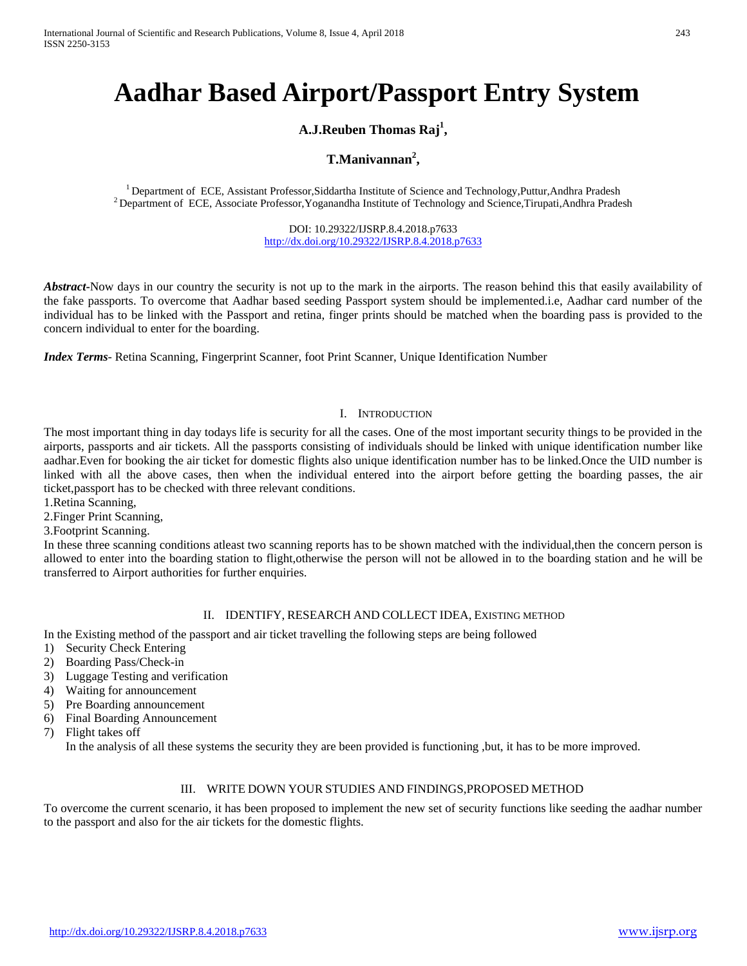# **Aadhar Based Airport/Passport Entry System**

# **A.J.Reuben Thomas Raj<sup>1</sup> ,**

# **T.Manivannan<sup>2</sup> ,**

<sup>1</sup> Department of ECE, Assistant Professor,Siddartha Institute of Science and Technology,Puttur,Andhra Pradesh <sup>2</sup> Department of ECE, Associate Professor,Yoganandha Institute of Technology and Science,Tirupati,Andhra Prad

DOI: 10.29322/IJSRP.8.4.2018.p7633 <http://dx.doi.org/10.29322/IJSRP.8.4.2018.p7633>

*Abstract*-Now days in our country the security is not up to the mark in the airports. The reason behind this that easily availability of the fake passports. To overcome that Aadhar based seeding Passport system should be implemented.i.e, Aadhar card number of the individual has to be linked with the Passport and retina, finger prints should be matched when the boarding pass is provided to the concern individual to enter for the boarding.

*Index Terms*- Retina Scanning, Fingerprint Scanner, foot Print Scanner, Unique Identification Number

## I. INTRODUCTION

The most important thing in day todays life is security for all the cases. One of the most important security things to be provided in the airports, passports and air tickets. All the passports consisting of individuals should be linked with unique identification number like aadhar.Even for booking the air ticket for domestic flights also unique identification number has to be linked.Once the UID number is linked with all the above cases, then when the individual entered into the airport before getting the boarding passes, the air ticket,passport has to be checked with three relevant conditions.

1.Retina Scanning,

2.Finger Print Scanning,

3.Footprint Scanning.

In these three scanning conditions atleast two scanning reports has to be shown matched with the individual,then the concern person is allowed to enter into the boarding station to flight,otherwise the person will not be allowed in to the boarding station and he will be transferred to Airport authorities for further enquiries.

#### II. IDENTIFY, RESEARCH AND COLLECT IDEA, EXISTING METHOD

In the Existing method of the passport and air ticket travelling the following steps are being followed

- 1) Security Check Entering
- 2) Boarding Pass/Check-in
- 3) Luggage Testing and verification
- 4) Waiting for announcement
- 5) Pre Boarding announcement
- 6) Final Boarding Announcement
- 7) Flight takes off

In the analysis of all these systems the security they are been provided is functioning ,but, it has to be more improved.

#### III. WRITE DOWN YOUR STUDIES AND FINDINGS,PROPOSED METHOD

To overcome the current scenario, it has been proposed to implement the new set of security functions like seeding the aadhar number to the passport and also for the air tickets for the domestic flights.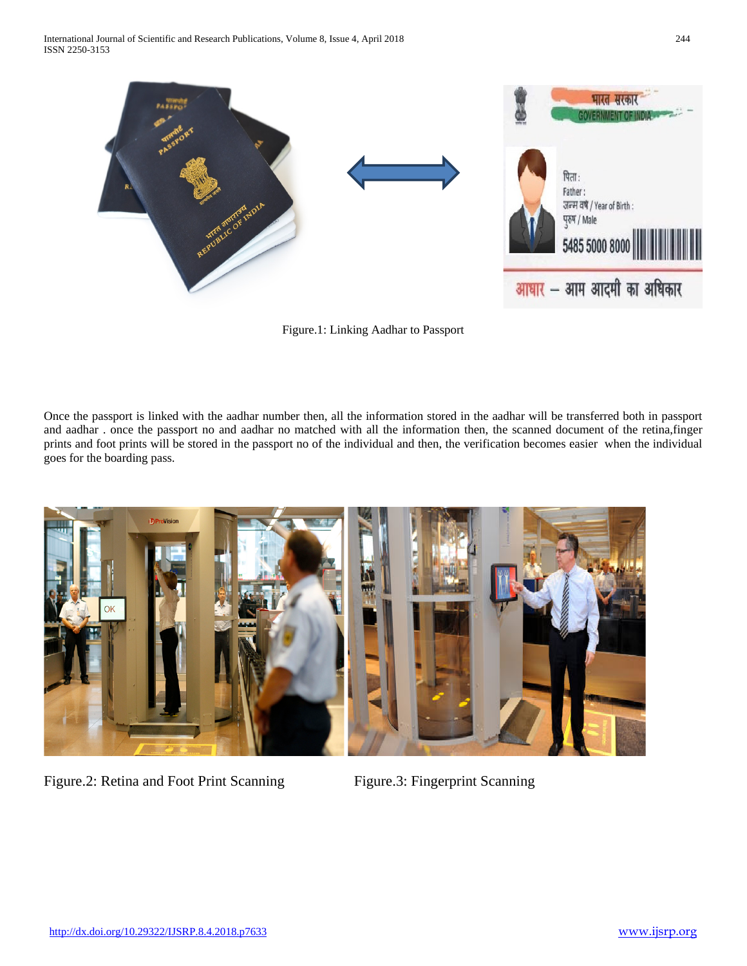

Figure.1: Linking Aadhar to Passport

Once the passport is linked with the aadhar number then, all the information stored in the aadhar will be transferred both in passport and aadhar . once the passport no and aadhar no matched with all the information then, the scanned document of the retina,finger prints and foot prints will be stored in the passport no of the individual and then, the verification becomes easier when the individual goes for the boarding pass.



Figure.2: Retina and Foot Print Scanning Figure.3: Fingerprint Scanning